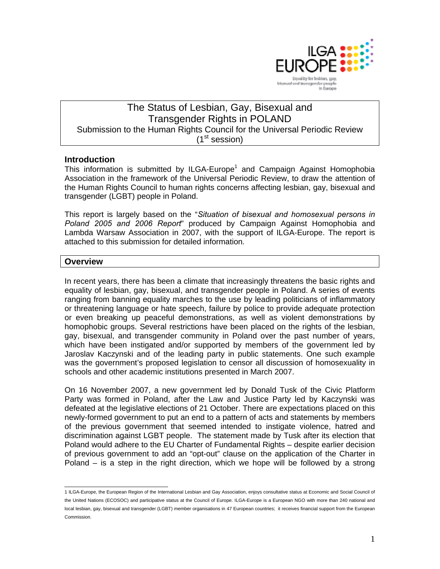

# The Status of Lesbian, Gay, Bisexual and Transgender Rights in POLAND Submission to the Human Rights Council for the Universal Periodic Review  $(1<sup>st</sup>$  session)

# **Introduction**

This information is submitted by ILGA-Europe<sup>1</sup> and Campaign Against Homophobia Association in the framework of the Universal Periodic Review, to draw the attention of the Human Rights Council to human rights concerns affecting lesbian, gay, bisexual and transgender (LGBT) people in Poland.

This report is largely based on the "*Situation of bisexual and homosexual persons in Poland 2005 and 2006 Report*" produced by Campaign Against Homophobia and Lambda Warsaw Association in 2007, with the support of ILGA-Europe. The report is attached to this submission for detailed information*.* 

# **Overview**

In recent years, there has been a climate that increasingly threatens the basic rights and equality of lesbian, gay, bisexual, and transgender people in Poland. A series of events ranging from banning equality marches to the use by leading politicians of inflammatory or threatening language or hate speech, failure by police to provide adequate protection or even breaking up peaceful demonstrations, as well as violent demonstrations by homophobic groups. Several restrictions have been placed on the rights of the lesbian, gay, bisexual, and transgender community in Poland over the past number of years, which have been instigated and/or supported by members of the government led by Jaroslav Kaczynski and of the leading party in public statements. One such example was the government's proposed legislation to censor all discussion of homosexuality in schools and other academic institutions presented in March 2007.

On 16 November 2007, a new government led by Donald Tusk of the Civic Platform Party was formed in Poland, after the Law and Justice Party led by Kaczynski was defeated at the legislative elections of 21 October. There are expectations placed on this newly-formed government to put an end to a pattern of acts and statements by members of the previous government that seemed intended to instigate violence, hatred and discrimination against LGBT people. The statement made by Tusk after its election that Poland would adhere to the EU Charter of Fundamental Rights – despite earlier decision of previous government to add an "opt-out" clause on the application of the Charter in Poland – is a step in the right direction, which we hope will be followed by a strong

 1 ILGA-Europe, the European Region of the International Lesbian and Gay Association, enjoys consultative status at Economic and Social Council of the United Nations (ECOSOC) and participative status at the Council of Europe. ILGA-Europe is a European NGO with more than 240 national and local lesbian, gay, bisexual and transgender (LGBT) member organisations in 47 European countries; it receives financial support from the European Commission.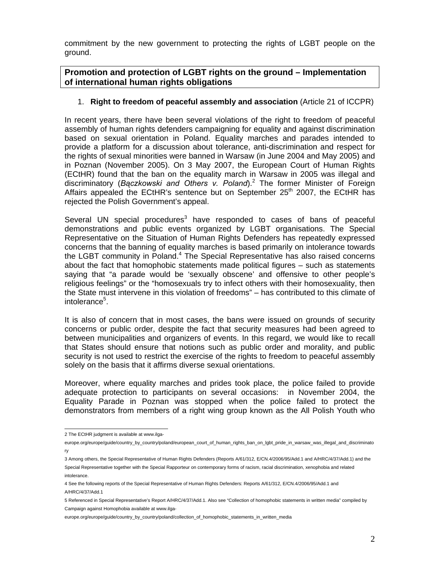commitment by the new government to protecting the rights of LGBT people on the ground.

**Promotion and protection of LGBT rights on the ground – Implementation of international human rights obligations** 

### 1. **Right to freedom of peaceful assembly and association** (Article 21 of ICCPR)

In recent years, there have been several violations of the right to freedom of peaceful assembly of human rights defenders campaigning for equality and against discrimination based on sexual orientation in Poland. Equality marches and parades intended to provide a platform for a discussion about tolerance, anti-discrimination and respect for the rights of sexual minorities were banned in Warsaw (in June 2004 and May 2005) and in Poznan (November 2005). On 3 May 2007, the European Court of Human Rights (ECtHR) found that the ban on the equality march in Warsaw in 2005 was illegal and discriminatory (*Bączkowski and Others v. Poland*).<sup>2</sup> The former Minister of Foreign Affairs appealed the ECtHR's sentence but on September  $25<sup>th</sup>$  2007, the ECtHR has rejected the Polish Government's appeal.

Several UN special procedures<sup>3</sup> have responded to cases of bans of peaceful demonstrations and public events organized by LGBT organisations. The Special Representative on the Situation of Human Rights Defenders has repeatedly expressed concerns that the banning of equality marches is based primarily on intolerance towards the LGBT community in Poland.<sup>4</sup> The Special Representative has also raised concerns about the fact that homophobic statements made political figures – such as statements saying that "a parade would be 'sexually obscene' and offensive to other people's religious feelings" or the "homosexuals try to infect others with their homosexuality, then the State must intervene in this violation of freedoms" – has contributed to this climate of intolerance<sup>5</sup>.

It is also of concern that in most cases, the bans were issued on grounds of security concerns or public order, despite the fact that security measures had been agreed to between municipalities and organizers of events. In this regard, we would like to recall that States should ensure that notions such as public order and morality, and public security is not used to restrict the exercise of the rights to freedom to peaceful assembly solely on the basis that it affirms diverse sexual orientations.

Moreover, where equality marches and prides took place, the police failed to provide adequate protection to participants on several occasions: in November 2004, the Equality Parade in Poznan was stopped when the police failed to protect the demonstrators from members of a right wing group known as the All Polish Youth who

 2 The ECtHR judgment is available at www.ilga-

europe.org/europe/guide/country\_by\_country/poland/european\_court\_of\_human\_rights\_ban\_on\_lgbt\_pride\_in\_warsaw\_was\_illegal\_and\_discriminato ry

<sup>3</sup> Among others, the Special Representative of Human Rights Defenders (Reports A/61/312, E/CN.4/2006/95/Add.1 and A/HRC/4/37/Add.1) and the Special Representative together with the Special Rapporteur on contemporary forms of racism, racial discrimination, xenophobia and related intolerance.

<sup>4</sup> See the following reports of the Special Representative of Human Rights Defenders: Reports A/61/312, E/CN.4/2006/95/Add.1 and A/HRC/4/37/Add.1

<sup>5</sup> Referenced in Special Representative's Report A/HRC/4/37/Add.1. Also see "Collection of homophobic statements in written media" compiled by Campaign against Homophobia available at www.ilga-

europe.org/europe/quide/country\_by\_country/poland/collection\_of\_homophobic\_statements\_in\_written\_media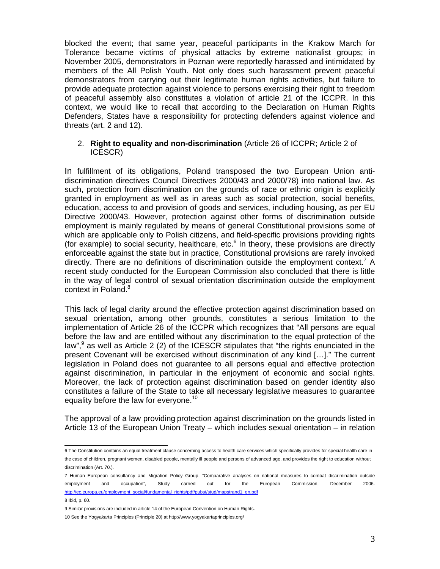blocked the event; that same year, peaceful participants in the Krakow March for Tolerance became victims of physical attacks by extreme nationalist groups; in November 2005, demonstrators in Poznan were reportedly harassed and intimidated by members of the All Polish Youth. Not only does such harassment prevent peaceful demonstrators from carrying out their legitimate human rights activities, but failure to provide adequate protection against violence to persons exercising their right to freedom of peaceful assembly also constitutes a violation of article 21 of the ICCPR. In this context, we would like to recall that according to the Declaration on Human Rights Defenders, States have a responsibility for protecting defenders against violence and threats (art. 2 and 12).

## 2. **Right to equality and non-discrimination** (Article 26 of ICCPR; Article 2 of ICESCR)

In fulfillment of its obligations, Poland transposed the two European Union antidiscrimination directives Council Directives 2000/43 and 2000/78) into national law. As such, protection from discrimination on the grounds of race or ethnic origin is explicitly granted in employment as well as in areas such as social protection, social benefits, education, access to and provision of goods and services, including housing, as per EU Directive 2000/43. However, protection against other forms of discrimination outside employment is mainly regulated by means of general Constitutional provisions some of which are applicable only to Polish citizens, and field-specific provisions providing rights (for example) to social security, healthcare, etc. $6$  In theory, these provisions are directly enforceable against the state but in practice, Constitutional provisions are rarely invoked directly. There are no definitions of discrimination outside the employment context.<sup>7</sup> A recent study conducted for the European Commission also concluded that there is little in the way of legal control of sexual orientation discrimination outside the employment context in Poland.<sup>8</sup>

This lack of legal clarity around the effective protection against discrimination based on sexual orientation, among other grounds, constitutes a serious limitation to the implementation of Article 26 of the ICCPR which recognizes that "All persons are equal before the law and are entitled without any discrimination to the equal protection of the law", $9$  as well as Article 2 (2) of the ICESCR stipulates that "the rights enunciated in the present Covenant will be exercised without discrimination of any kind […]." The current legislation in Poland does not guarantee to all persons equal and effective protection against discrimination, in particular in the enjoyment of economic and social rights. Moreover, the lack of protection against discrimination based on gender identity also constitutes a failure of the State to take all necessary legislative measures to guarantee equality before the law for everyone.<sup>10</sup>

The approval of a law providing protection against discrimination on the grounds listed in Article 13 of the European Union Treaty – which includes sexual orientation – in relation

 6 The Constitution contains an equal treatment clause concerning access to health care services which specifically provides for special health care in the case of children, pregnant women, disabled people, mentally ill people and persons of advanced age, and provides the right to education without discrimination (Art. 70.).

<sup>7</sup> Human European consultancy and Migration Policy Group, "Comparative analyses on national measures to combat discrimination outside employment and occupation", Study carried out for the European Commission, December 2006. http://ec.europa.eu/employment\_social/fundamental\_rights/pdf/pubst/stud/mapstrand1\_en.pdf

<sup>8</sup> Ibid, p. 60.

<sup>9</sup> Similar provisions are included in article 14 of the European Convention on Human Rights. 10 See the Yogyakarta Principles (Principle 20) at http://www.yogyakartaprinciples.org/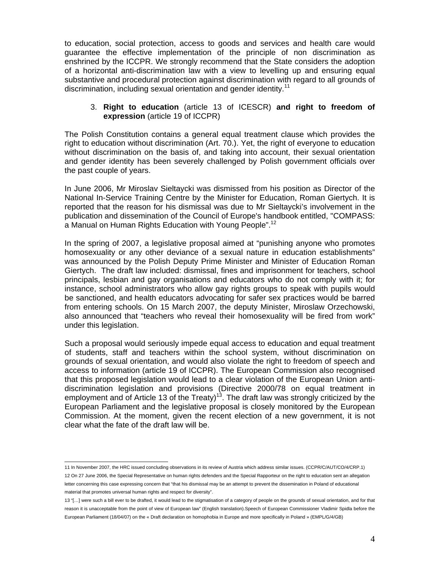to education, social protection, access to goods and services and health care would guarantee the effective implementation of the principle of non discrimination as enshrined by the ICCPR. We strongly recommend that the State considers the adoption of a horizontal anti-discrimination law with a view to levelling up and ensuring equal substantive and procedural protection against discrimination with regard to all grounds of discrimination, including sexual orientation and gender identity.<sup>11</sup>

### 3. **Right to education** (article 13 of ICESCR) **and right to freedom of expression** (article 19 of ICCPR)

The Polish Constitution contains a general equal treatment clause which provides the right to education without discrimination (Art. 70.). Yet, the right of everyone to education without discrimination on the basis of, and taking into account, their sexual orientation and gender identity has been severely challenged by Polish government officials over the past couple of years.

In June 2006, Mr Miroslav Sieltaycki was dismissed from his position as Director of the National In-Service Training Centre by the Minister for Education, Roman Giertych. It is reported that the reason for his dismissal was due to Mr Sieltaycki's involvement in the publication and dissemination of the Council of Europe's handbook entitled, "COMPASS: a Manual on Human Rights Education with Young People".<sup>12</sup>

In the spring of 2007, a legislative proposal aimed at "punishing anyone who promotes homosexuality or any other deviance of a sexual nature in education establishments" was announced by the Polish Deputy Prime Minister and Minister of Education Roman Giertych. The draft law included: dismissal, fines and imprisonment for teachers, school principals, lesbian and gay organisations and educators who do not comply with it; for instance, school administrators who allow gay rights groups to speak with pupils would be sanctioned, and health educators advocating for safer sex practices would be barred from entering schools. On 15 March 2007, the deputy Minister, Miroslaw Orzechowski, also announced that "teachers who reveal their homosexuality will be fired from work" under this legislation.

Such a proposal would seriously impede equal access to education and equal treatment of students, staff and teachers within the school system, without discrimination on grounds of sexual orientation, and would also violate the right to freedom of speech and access to information (article 19 of ICCPR). The European Commission also recognised that this proposed legislation would lead to a clear violation of the European Union antidiscrimination legislation and provisions (Directive 2000/78 on equal treatment in employment and of Article 13 of the Treaty)<sup>13</sup>. The draft law was strongly criticized by the European Parliament and the legislative proposal is closely monitored by the European Commission. At the moment, given the recent election of a new government, it is not clear what the fate of the draft law will be.

 11 In November 2007, the HRC issued concluding observations in its review of Austria which address similar issues. (CCPR/C/AUT/CO/4/CRP.1) 12 On 27 June 2006, the Special Representative on human rights defenders and the Special Rapporteur on the right to education sent an allegation letter concerning this case expressing concern that "that his dismissal may be an attempt to prevent the dissemination in Poland of educational material that promotes universal human rights and respect for diversity".

<sup>13 &</sup>quot;[…] were such a bill ever to be drafted, it would lead to the stigmatisation of a category of people on the grounds of sexual orientation, and for that reason it is unacceptable from the point of view of European law" (English translation).Speech of European Commissioner Vladimir Spidla before the European Parliament (18/04/07) on the « Draft declaration on homophobia in Europe and more specifically in Poland » (EMPL/G/4/GB)